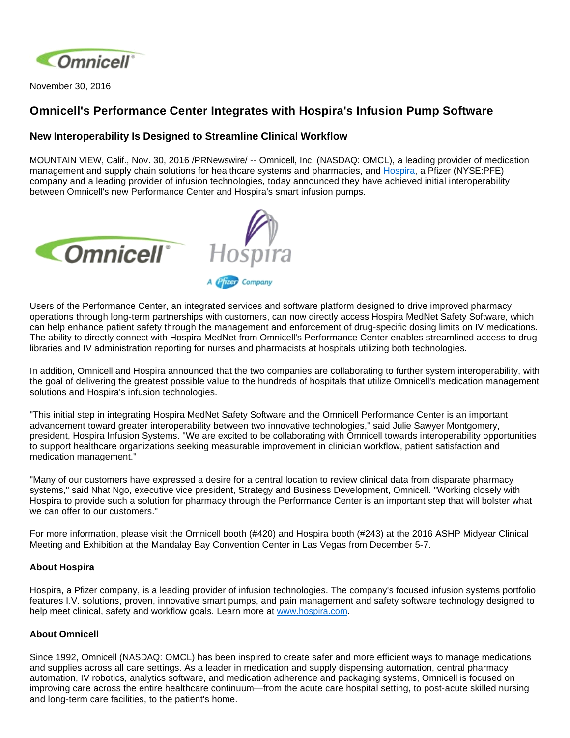

November 30, 2016

## **Omnicell's Performance Center Integrates with Hospira's Infusion Pump Software**

## **New Interoperability Is Designed to Streamline Clinical Workflow**

MOUNTAIN VIEW, Calif., Nov. 30, 2016 /PRNewswire/ -- Omnicell, Inc. (NASDAQ: OMCL), a leading provider of medication management and supply chain solutions for healthcare systems and pharmacies, and [Hospira,](http://www.hospira.com/) a Pfizer (NYSE:PFE) company and a leading provider of infusion technologies, today announced they have achieved initial interoperability between Omnicell's new Performance Center and Hospira's smart infusion pumps.





Users of the Performance Center, an integrated services and software platform designed to drive improved pharmacy operations through long-term partnerships with customers, can now directly access Hospira MedNet Safety Software, which can help enhance patient safety through the management and enforcement of drug-specific dosing limits on IV medications. The ability to directly connect with Hospira MedNet from Omnicell's Performance Center enables streamlined access to drug libraries and IV administration reporting for nurses and pharmacists at hospitals utilizing both technologies.

In addition, Omnicell and Hospira announced that the two companies are collaborating to further system interoperability, with the goal of delivering the greatest possible value to the hundreds of hospitals that utilize Omnicell's medication management solutions and Hospira's infusion technologies.

"This initial step in integrating Hospira MedNet Safety Software and the Omnicell Performance Center is an important advancement toward greater interoperability between two innovative technologies," said Julie Sawyer Montgomery, president, Hospira Infusion Systems. "We are excited to be collaborating with Omnicell towards interoperability opportunities to support healthcare organizations seeking measurable improvement in clinician workflow, patient satisfaction and medication management."

"Many of our customers have expressed a desire for a central location to review clinical data from disparate pharmacy systems," said Nhat Ngo, executive vice president, Strategy and Business Development, Omnicell. "Working closely with Hospira to provide such a solution for pharmacy through the Performance Center is an important step that will bolster what we can offer to our customers."

For more information, please visit the Omnicell booth (#420) and Hospira booth (#243) at the 2016 ASHP Midyear Clinical Meeting and Exhibition at the Mandalay Bay Convention Center in Las Vegas from December 5-7.

## **About Hospira**

Hospira, a Pfizer company, is a leading provider of infusion technologies. The company's focused infusion systems portfolio features I.V. solutions, proven, innovative smart pumps, and pain management and safety software technology designed to help meet clinical, safety and workflow goals. Learn more at [www.hospira.com](http://www.hospira.com/).

## **About Omnicell**

Since 1992, Omnicell (NASDAQ: OMCL) has been inspired to create safer and more efficient ways to manage medications and supplies across all care settings. As a leader in medication and supply dispensing automation, central pharmacy automation, IV robotics, analytics software, and medication adherence and packaging systems, Omnicell is focused on improving care across the entire healthcare continuum—from the acute care hospital setting, to post-acute skilled nursing and long-term care facilities, to the patient's home.